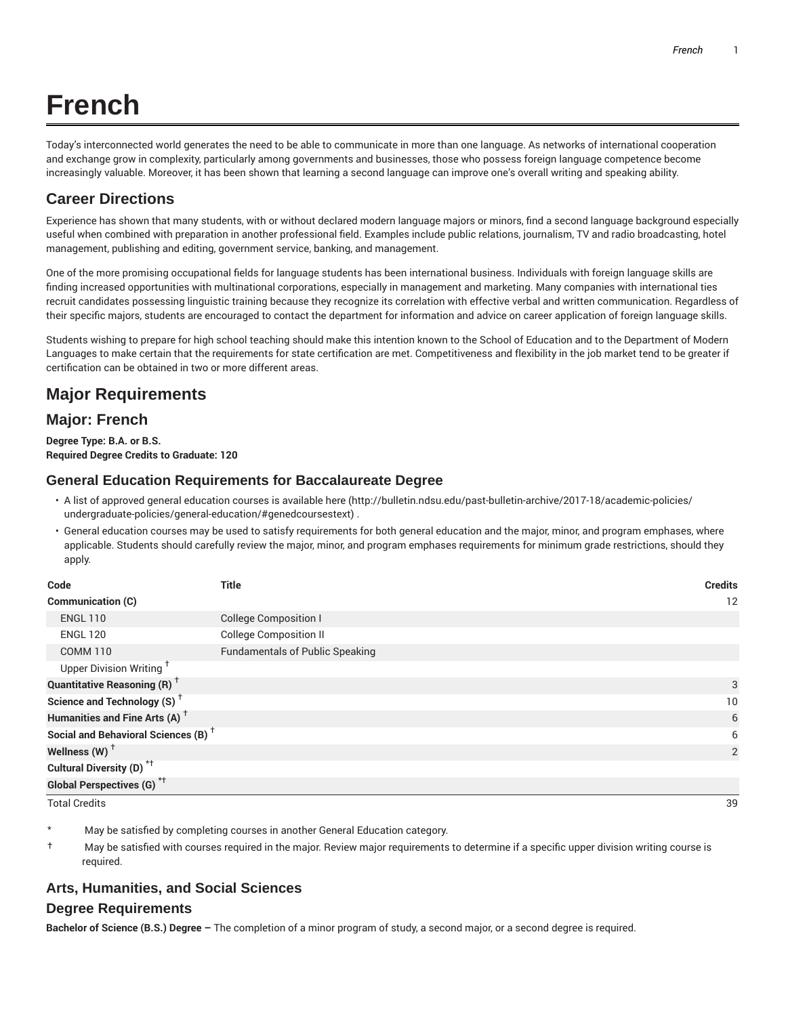# **French**

Today's interconnected world generates the need to be able to communicate in more than one language. As networks of international cooperation and exchange grow in complexity, particularly among governments and businesses, those who possess foreign language competence become increasingly valuable. Moreover, it has been shown that learning a second language can improve one's overall writing and speaking ability.

# **Career Directions**

Experience has shown that many students, with or without declared modern language majors or minors, find a second language background especially useful when combined with preparation in another professional field. Examples include public relations, journalism, TV and radio broadcasting, hotel management, publishing and editing, government service, banking, and management.

One of the more promising occupational fields for language students has been international business. Individuals with foreign language skills are finding increased opportunities with multinational corporations, especially in management and marketing. Many companies with international ties recruit candidates possessing linguistic training because they recognize its correlation with effective verbal and written communication. Regardless of their specific majors, students are encouraged to contact the department for information and advice on career application of foreign language skills.

Students wishing to prepare for high school teaching should make this intention known to the School of Education and to the Department of Modern Languages to make certain that the requirements for state certification are met. Competitiveness and flexibility in the job market tend to be greater if certification can be obtained in two or more different areas.

# **Major Requirements**

# **Major: French**

**Degree Type: B.A. or B.S. Required Degree Credits to Graduate: 120**

## **General Education Requirements for Baccalaureate Degree**

- A list of approved general education courses is available here (http://bulletin.ndsu.edu/past-bulletin-archive/2017-18/academic-policies/ undergraduate-policies/general-education/#genedcoursestext) .
- General education courses may be used to satisfy requirements for both general education and the major, minor, and program emphases, where applicable. Students should carefully review the major, minor, and program emphases requirements for minimum grade restrictions, should they apply.

| Code                                            | <b>Title</b>                           | <b>Credits</b> |
|-------------------------------------------------|----------------------------------------|----------------|
| Communication (C)                               |                                        | 12             |
| <b>ENGL 110</b>                                 | <b>College Composition I</b>           |                |
| <b>ENGL 120</b>                                 | <b>College Composition II</b>          |                |
| <b>COMM 110</b>                                 | <b>Fundamentals of Public Speaking</b> |                |
| Upper Division Writing <sup>†</sup>             |                                        |                |
| <b>Quantitative Reasoning (R)</b> <sup>†</sup>  |                                        | 3              |
| Science and Technology (S) <sup>+</sup>         |                                        | 10             |
| Humanities and Fine Arts (A) <sup>+</sup>       |                                        | 6              |
| Social and Behavioral Sciences (B) <sup>+</sup> |                                        | 6              |
| Wellness (W) $^{\dagger}$                       |                                        | 2              |
| Cultural Diversity (D) <sup>*†</sup>            |                                        |                |
| <b>Global Perspectives (G)</b> <sup>*†</sup>    |                                        |                |

Total Credits 39

May be satisfied by completing courses in another General Education category.

† May be satisfied with courses required in the major. Review major requirements to determine if a specific upper division writing course is required.

## **Arts, Humanities, and Social Sciences**

## **Degree Requirements**

**Bachelor of Science (B.S.) Degree –** The completion of a minor program of study, a second major, or a second degree is required.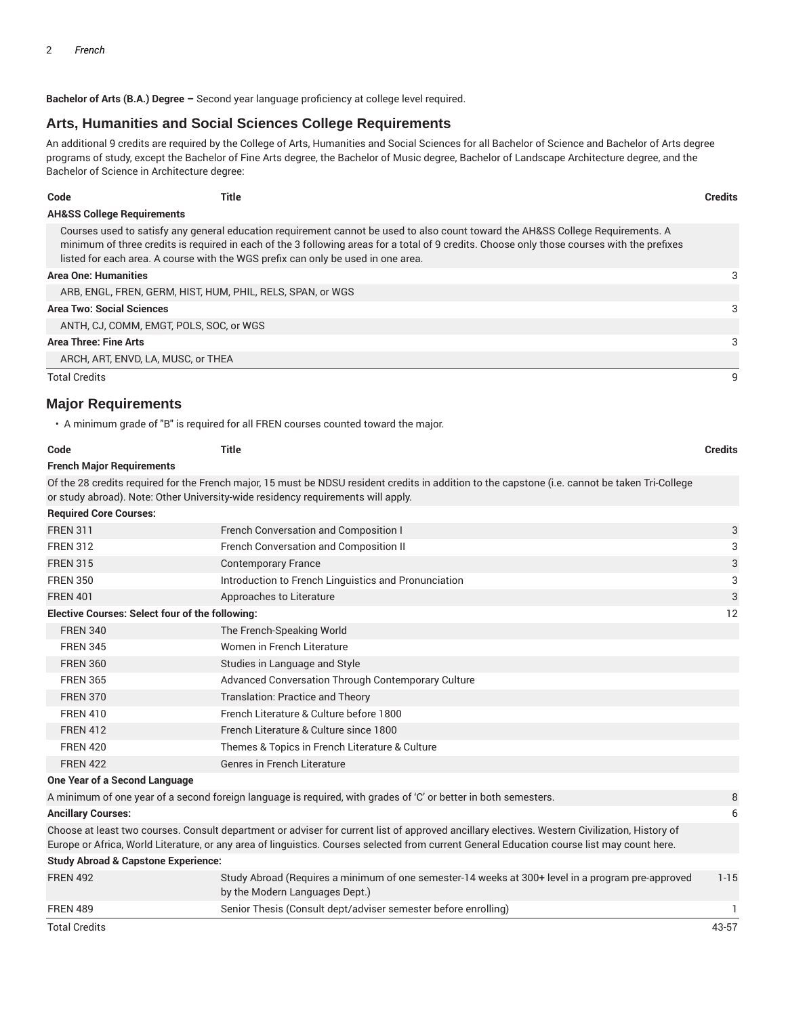**Bachelor of Arts (B.A.) Degree –** Second year language proficiency at college level required.

## **Arts, Humanities and Social Sciences College Requirements**

An additional 9 credits are required by the College of Arts, Humanities and Social Sciences for all Bachelor of Science and Bachelor of Arts degree programs of study, except the Bachelor of Fine Arts degree, the Bachelor of Music degree, Bachelor of Landscape Architecture degree, and the Bachelor of Science in Architecture degree:

| ÷<br>×<br>. .<br>۰. |
|---------------------|
| - - - -             |

**Code Title Credits**

#### **AH&SS College Requirements**

Courses used to satisfy any general education requirement cannot be used to also count toward the AH&SS College Requirements. A minimum of three credits is required in each of the 3 following areas for a total of 9 credits. Choose only those courses with the prefixes listed for each area. A course with the WGS prefix can only be used in one area.

#### **Area One: Humanities** 3

| ARB, ENGL, FREN, GERM, HIST, HUM, PHIL, RELS, SPAN, or WGS |  |
|------------------------------------------------------------|--|
| <b>Area Two: Social Sciences</b>                           |  |
| ANTH, CJ, COMM, EMGT, POLS, SOC, or WGS                    |  |
| Area Three: Fine Arts                                      |  |
| ARCH, ART, ENVD, LA, MUSC, or THEA                         |  |
| <b>Total Credits</b>                                       |  |

#### **Major Requirements**

• A minimum grade of "B" is required for all FREN courses counted toward the major.

| <b>Title</b>                                                                                                                                                                                                                                                                                 | <b>Credits</b>                                                                   |  |
|----------------------------------------------------------------------------------------------------------------------------------------------------------------------------------------------------------------------------------------------------------------------------------------------|----------------------------------------------------------------------------------|--|
|                                                                                                                                                                                                                                                                                              |                                                                                  |  |
| Of the 28 credits required for the French major, 15 must be NDSU resident credits in addition to the capstone (i.e. cannot be taken Tri-College                                                                                                                                              |                                                                                  |  |
|                                                                                                                                                                                                                                                                                              |                                                                                  |  |
|                                                                                                                                                                                                                                                                                              |                                                                                  |  |
| French Conversation and Composition I                                                                                                                                                                                                                                                        | 3                                                                                |  |
| French Conversation and Composition II                                                                                                                                                                                                                                                       | 3                                                                                |  |
| <b>Contemporary France</b>                                                                                                                                                                                                                                                                   | 3                                                                                |  |
| Introduction to French Linguistics and Pronunciation                                                                                                                                                                                                                                         | 3                                                                                |  |
| Approaches to Literature                                                                                                                                                                                                                                                                     | 3                                                                                |  |
| <b>Elective Courses: Select four of the following:</b>                                                                                                                                                                                                                                       |                                                                                  |  |
| The French-Speaking World                                                                                                                                                                                                                                                                    |                                                                                  |  |
| Women in French Literature                                                                                                                                                                                                                                                                   |                                                                                  |  |
| Studies in Language and Style                                                                                                                                                                                                                                                                |                                                                                  |  |
| Advanced Conversation Through Contemporary Culture                                                                                                                                                                                                                                           |                                                                                  |  |
| <b>Translation: Practice and Theory</b>                                                                                                                                                                                                                                                      |                                                                                  |  |
| French Literature & Culture before 1800                                                                                                                                                                                                                                                      |                                                                                  |  |
| French Literature & Culture since 1800                                                                                                                                                                                                                                                       |                                                                                  |  |
| Themes & Topics in French Literature & Culture                                                                                                                                                                                                                                               |                                                                                  |  |
| <b>Genres in French Literature</b>                                                                                                                                                                                                                                                           |                                                                                  |  |
|                                                                                                                                                                                                                                                                                              |                                                                                  |  |
| A minimum of one year of a second foreign language is required, with grades of 'C' or better in both semesters.                                                                                                                                                                              | 8                                                                                |  |
|                                                                                                                                                                                                                                                                                              | 6                                                                                |  |
| Choose at least two courses. Consult department or adviser for current list of approved ancillary electives. Western Civilization, History of<br>Europe or Africa, World Literature, or any area of linguistics. Courses selected from current General Education course list may count here. |                                                                                  |  |
| <b>Study Abroad &amp; Capstone Experience:</b>                                                                                                                                                                                                                                               |                                                                                  |  |
|                                                                                                                                                                                                                                                                                              | or study abroad). Note: Other University-wide residency requirements will apply. |  |

| <b>FREN 492</b> | Study Abroad (Reguires a minimum of one semester-14 weeks at 300+ level in a program pre-approved<br>by the Modern Languages Dept.) |       |
|-----------------|-------------------------------------------------------------------------------------------------------------------------------------|-------|
| <b>FREN 489</b> | Senior Thesis (Consult dept/adviser semester before enrolling)                                                                      |       |
| Total Credits   |                                                                                                                                     | 43-57 |